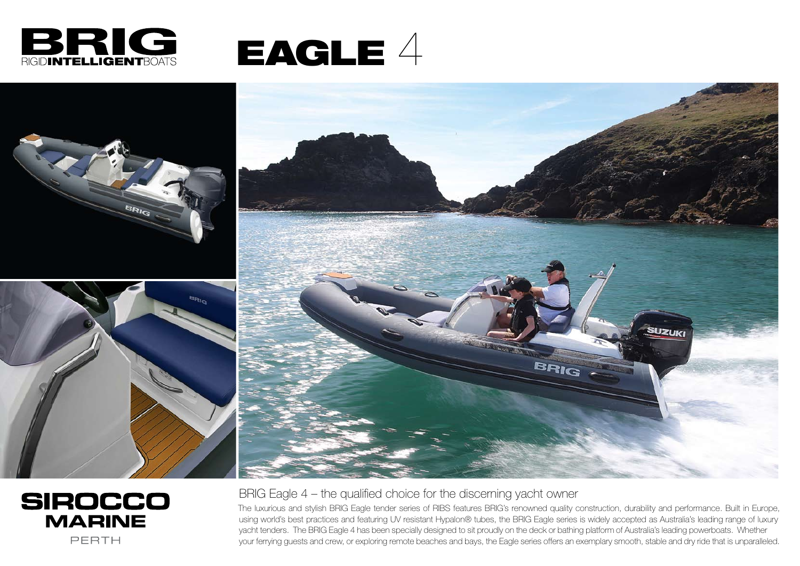









# **SIROCCO MARINE** PERTH

BRIG Eagle 4 – the qualified choice for the discerning yacht owner

The luxurious and stylish BRIG Eagle tender series of RIBS features BRIG's renowned quality construction, durability and performance. Built in Europe, using world's best practices and featuring UV resistant Hypalon® tubes, the BRIG Eagle series is widely accepted as Australia's leading range of luxury yacht tenders. The BRIG Eagle 4 has been specially designed to sit proudly on the deck or bathing platform of Australia's leading powerboats. Whether your ferrying guests and crew, or exploring remote beaches and bays, the Eagle series offers an exemplary smooth, stable and dry ride that is unparalleled.